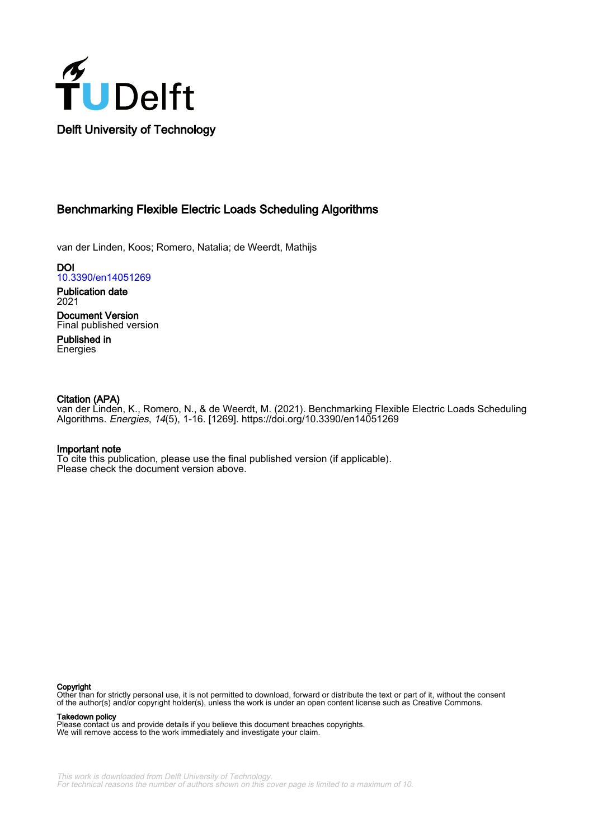

# Benchmarking Flexible Electric Loads Scheduling Algorithms

van der Linden, Koos; Romero, Natalia; de Weerdt, Mathijs

DOI [10.3390/en14051269](https://doi.org/10.3390/en14051269)

Publication date 2021

Document Version Final published version

Published in **Energies** 

# Citation (APA)

van der Linden, K., Romero, N., & de Weerdt, M. (2021). Benchmarking Flexible Electric Loads Scheduling Algorithms. Energies, 14(5), 1-16. [1269].<https://doi.org/10.3390/en14051269>

# Important note

To cite this publication, please use the final published version (if applicable). Please check the document version above.

#### Copyright

Other than for strictly personal use, it is not permitted to download, forward or distribute the text or part of it, without the consent of the author(s) and/or copyright holder(s), unless the work is under an open content license such as Creative Commons.

Takedown policy

Please contact us and provide details if you believe this document breaches copyrights. We will remove access to the work immediately and investigate your claim.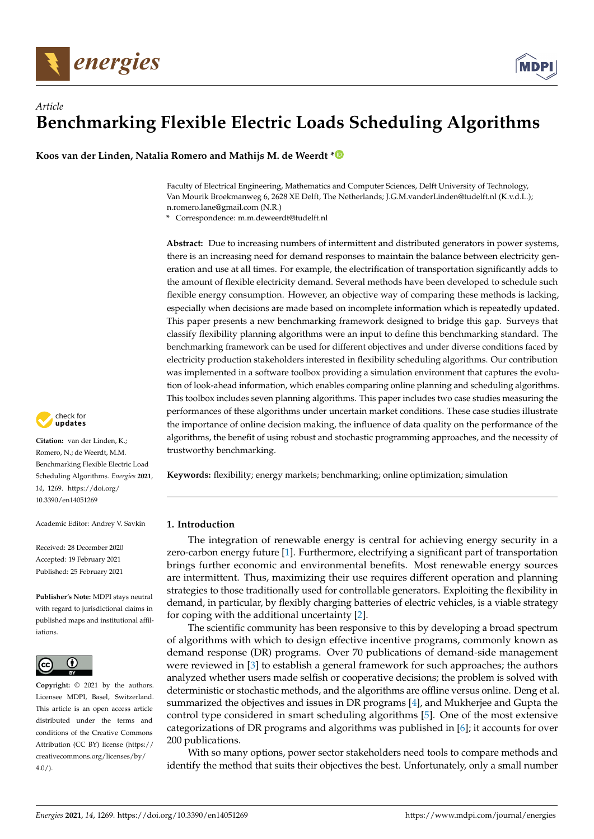



**Koos van der Linden, Natalia Romero and Mathijs M. de Weerdt [\\*](https://orcid.org/0000-0002-0470-6241)**

Faculty of Electrical Engineering, Mathematics and Computer Sciences, Delft University of Technology, Van Mourik Broekmanweg 6, 2628 XE Delft, The Netherlands; J.G.M.vanderLinden@tudelft.nl (K.v.d.L.); n.romero.lane@gmail.com (N.R.)

**\*** Correspondence: m.m.deweerdt@tudelft.nl

**Abstract:** Due to increasing numbers of intermittent and distributed generators in power systems, there is an increasing need for demand responses to maintain the balance between electricity generation and use at all times. For example, the electrification of transportation significantly adds to the amount of flexible electricity demand. Several methods have been developed to schedule such flexible energy consumption. However, an objective way of comparing these methods is lacking, especially when decisions are made based on incomplete information which is repeatedly updated. This paper presents a new benchmarking framework designed to bridge this gap. Surveys that classify flexibility planning algorithms were an input to define this benchmarking standard. The benchmarking framework can be used for different objectives and under diverse conditions faced by electricity production stakeholders interested in flexibility scheduling algorithms. Our contribution was implemented in a software toolbox providing a simulation environment that captures the evolution of look-ahead information, which enables comparing online planning and scheduling algorithms. This toolbox includes seven planning algorithms. This paper includes two case studies measuring the performances of these algorithms under uncertain market conditions. These case studies illustrate the importance of online decision making, the influence of data quality on the performance of the algorithms, the benefit of using robust and stochastic programming approaches, and the necessity of trustworthy benchmarking.

**Keywords:** flexibility; energy markets; benchmarking; online optimization; simulation

# **1. Introduction**

The integration of renewable energy is central for achieving energy security in a zero-carbon energy future [\[1\]](#page-14-0). Furthermore, electrifying a significant part of transportation brings further economic and environmental benefits. Most renewable energy sources are intermittent. Thus, maximizing their use requires different operation and planning strategies to those traditionally used for controllable generators. Exploiting the flexibility in demand, in particular, by flexibly charging batteries of electric vehicles, is a viable strategy for coping with the additional uncertainty [\[2\]](#page-14-1).

The scientific community has been responsive to this by developing a broad spectrum of algorithms with which to design effective incentive programs, commonly known as demand response (DR) programs. Over 70 publications of demand-side management were reviewed in [\[3\]](#page-14-2) to establish a general framework for such approaches; the authors analyzed whether users made selfish or cooperative decisions; the problem is solved with deterministic or stochastic methods, and the algorithms are offline versus online. Deng et al. summarized the objectives and issues in DR programs [\[4\]](#page-14-3), and Mukherjee and Gupta the control type considered in smart scheduling algorithms [\[5\]](#page-14-4). One of the most extensive categorizations of DR programs and algorithms was published in [\[6\]](#page-14-5); it accounts for over 200 publications.

With so many options, power sector stakeholders need tools to compare methods and identify the method that suits their objectives the best. Unfortunately, only a small number



**Citation:** van der Linden, K.; Romero, N.; de Weerdt, M.M. Benchmarking Flexible Electric Load Scheduling Algorithms. *Energies* **2021**, *14*, 1269. [https://doi.org/](https://doi.org/10.3390/en14051269) [10.3390/en14051269](https://doi.org/10.3390/en14051269)

Academic Editor: Andrey V. Savkin

Received: 28 December 2020 Accepted: 19 February 2021 Published: 25 February 2021

**Publisher's Note:** MDPI stays neutral with regard to jurisdictional claims in published maps and institutional affiliations.



**Copyright:** © 2021 by the authors. Licensee MDPI, Basel, Switzerland. This article is an open access article distributed under the terms and conditions of the Creative Commons Attribution (CC BY) license (https:/[/](https://creativecommons.org/licenses/by/4.0/) [creativecommons.org/licenses/by/](https://creativecommons.org/licenses/by/4.0/)  $4.0/$ ).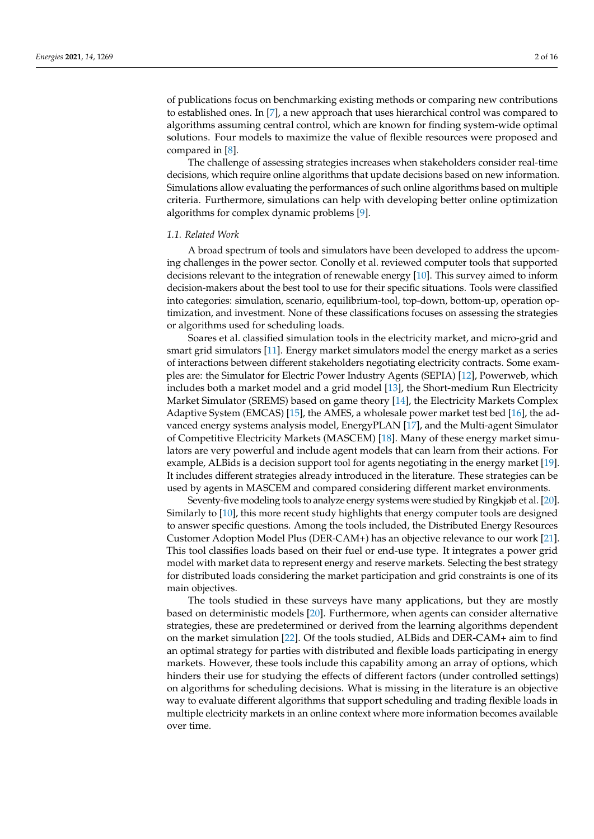of publications focus on benchmarking existing methods or comparing new contributions to established ones. In [\[7\]](#page-14-6), a new approach that uses hierarchical control was compared to algorithms assuming central control, which are known for finding system-wide optimal solutions. Four models to maximize the value of flexible resources were proposed and compared in [\[8\]](#page-14-7).

The challenge of assessing strategies increases when stakeholders consider real-time decisions, which require online algorithms that update decisions based on new information. Simulations allow evaluating the performances of such online algorithms based on multiple criteria. Furthermore, simulations can help with developing better online optimization algorithms for complex dynamic problems [\[9\]](#page-14-8).

#### *1.1. Related Work*

A broad spectrum of tools and simulators have been developed to address the upcoming challenges in the power sector. Conolly et al. reviewed computer tools that supported decisions relevant to the integration of renewable energy [\[10\]](#page-14-9). This survey aimed to inform decision-makers about the best tool to use for their specific situations. Tools were classified into categories: simulation, scenario, equilibrium-tool, top-down, bottom-up, operation optimization, and investment. None of these classifications focuses on assessing the strategies or algorithms used for scheduling loads.

Soares et al. classified simulation tools in the electricity market, and micro-grid and smart grid simulators [\[11\]](#page-14-10). Energy market simulators model the energy market as a series of interactions between different stakeholders negotiating electricity contracts. Some examples are: the Simulator for Electric Power Industry Agents (SEPIA) [\[12\]](#page-15-0), Powerweb, which includes both a market model and a grid model [\[13\]](#page-15-1), the Short-medium Run Electricity Market Simulator (SREMS) based on game theory [\[14\]](#page-15-2), the Electricity Markets Complex Adaptive System (EMCAS) [\[15\]](#page-15-3), the AMES, a wholesale power market test bed [\[16\]](#page-15-4), the advanced energy systems analysis model, EnergyPLAN [\[17\]](#page-15-5), and the Multi-agent Simulator of Competitive Electricity Markets (MASCEM) [\[18\]](#page-15-6). Many of these energy market simulators are very powerful and include agent models that can learn from their actions. For example, ALBids is a decision support tool for agents negotiating in the energy market [\[19\]](#page-15-7). It includes different strategies already introduced in the literature. These strategies can be used by agents in MASCEM and compared considering different market environments.

Seventy-five modeling tools to analyze energy systems were studied by Ringkjøb et al. [\[20\]](#page-15-8). Similarly to [\[10\]](#page-14-9), this more recent study highlights that energy computer tools are designed to answer specific questions. Among the tools included, the Distributed Energy Resources Customer Adoption Model Plus (DER-CAM+) has an objective relevance to our work [\[21\]](#page-15-9). This tool classifies loads based on their fuel or end-use type. It integrates a power grid model with market data to represent energy and reserve markets. Selecting the best strategy for distributed loads considering the market participation and grid constraints is one of its main objectives.

The tools studied in these surveys have many applications, but they are mostly based on deterministic models [\[20\]](#page-15-8). Furthermore, when agents can consider alternative strategies, these are predetermined or derived from the learning algorithms dependent on the market simulation [\[22\]](#page-15-10). Of the tools studied, ALBids and DER-CAM+ aim to find an optimal strategy for parties with distributed and flexible loads participating in energy markets. However, these tools include this capability among an array of options, which hinders their use for studying the effects of different factors (under controlled settings) on algorithms for scheduling decisions. What is missing in the literature is an objective way to evaluate different algorithms that support scheduling and trading flexible loads in multiple electricity markets in an online context where more information becomes available over time.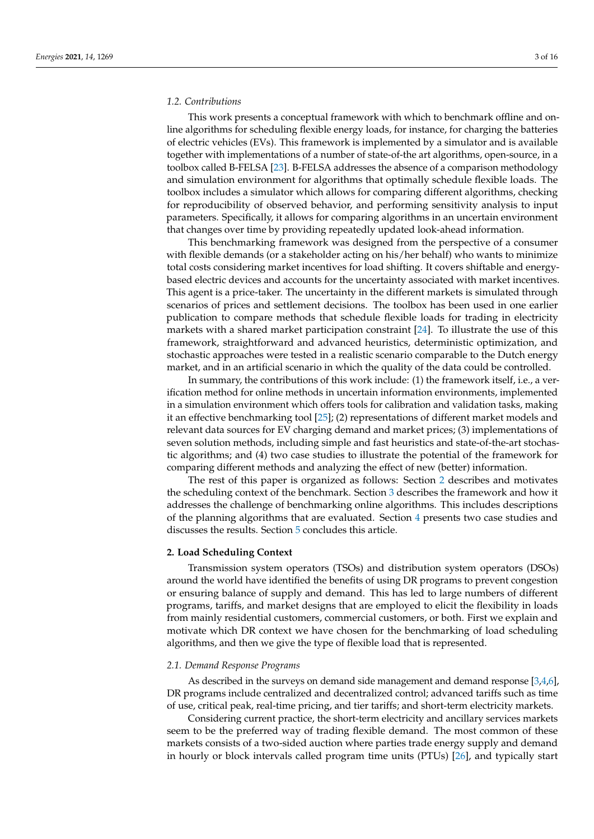# *1.2. Contributions*

This work presents a conceptual framework with which to benchmark offline and online algorithms for scheduling flexible energy loads, for instance, for charging the batteries of electric vehicles (EVs). This framework is implemented by a simulator and is available together with implementations of a number of state-of-the art algorithms, open-source, in a toolbox called B-FELSA [\[23\]](#page-15-11). B-FELSA addresses the absence of a comparison methodology and simulation environment for algorithms that optimally schedule flexible loads. The toolbox includes a simulator which allows for comparing different algorithms, checking for reproducibility of observed behavior, and performing sensitivity analysis to input parameters. Specifically, it allows for comparing algorithms in an uncertain environment that changes over time by providing repeatedly updated look-ahead information.

This benchmarking framework was designed from the perspective of a consumer with flexible demands (or a stakeholder acting on his/her behalf) who wants to minimize total costs considering market incentives for load shifting. It covers shiftable and energybased electric devices and accounts for the uncertainty associated with market incentives. This agent is a price-taker. The uncertainty in the different markets is simulated through scenarios of prices and settlement decisions. The toolbox has been used in one earlier publication to compare methods that schedule flexible loads for trading in electricity markets with a shared market participation constraint [\[24\]](#page-15-12). To illustrate the use of this framework, straightforward and advanced heuristics, deterministic optimization, and stochastic approaches were tested in a realistic scenario comparable to the Dutch energy market, and in an artificial scenario in which the quality of the data could be controlled.

In summary, the contributions of this work include: (1) the framework itself, i.e., a verification method for online methods in uncertain information environments, implemented in a simulation environment which offers tools for calibration and validation tasks, making it an effective benchmarking tool [\[25\]](#page-15-13); (2) representations of different market models and relevant data sources for EV charging demand and market prices; (3) implementations of seven solution methods, including simple and fast heuristics and state-of-the-art stochastic algorithms; and (4) two case studies to illustrate the potential of the framework for comparing different methods and analyzing the effect of new (better) information.

The rest of this paper is organized as follows: Section [2](#page-3-0) describes and motivates the scheduling context of the benchmark. Section [3](#page-4-0) describes the framework and how it addresses the challenge of benchmarking online algorithms. This includes descriptions of the planning algorithms that are evaluated. Section [4](#page-8-0) presents two case studies and discusses the results. Section [5](#page-12-0) concludes this article.

# <span id="page-3-0"></span>**2. Load Scheduling Context**

Transmission system operators (TSOs) and distribution system operators (DSOs) around the world have identified the benefits of using DR programs to prevent congestion or ensuring balance of supply and demand. This has led to large numbers of different programs, tariffs, and market designs that are employed to elicit the flexibility in loads from mainly residential customers, commercial customers, or both. First we explain and motivate which DR context we have chosen for the benchmarking of load scheduling algorithms, and then we give the type of flexible load that is represented.

#### *2.1. Demand Response Programs*

As described in the surveys on demand side management and demand response [\[3](#page-14-2)[,4,](#page-14-3)[6\]](#page-14-5), DR programs include centralized and decentralized control; advanced tariffs such as time of use, critical peak, real-time pricing, and tier tariffs; and short-term electricity markets.

Considering current practice, the short-term electricity and ancillary services markets seem to be the preferred way of trading flexible demand. The most common of these markets consists of a two-sided auction where parties trade energy supply and demand in hourly or block intervals called program time units (PTUs) [\[26\]](#page-15-14), and typically start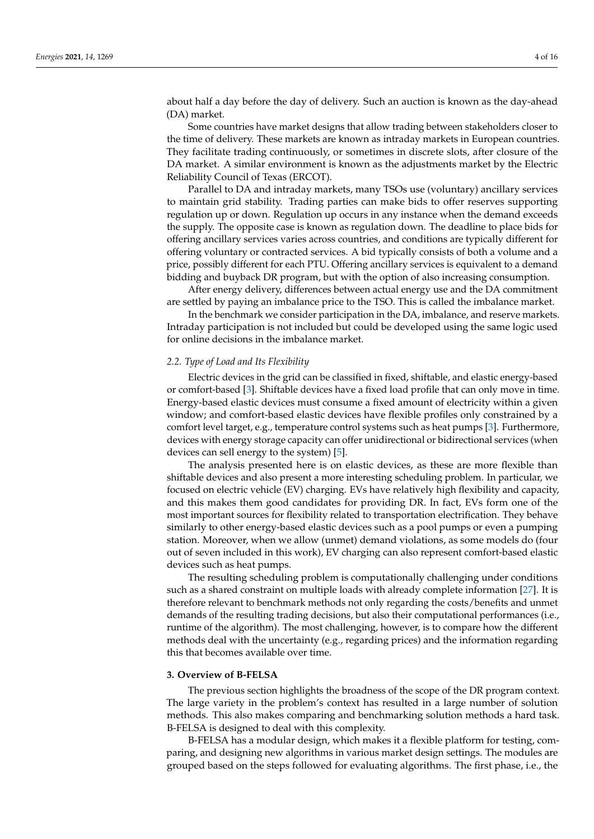about half a day before the day of delivery. Such an auction is known as the day-ahead (DA) market.

Some countries have market designs that allow trading between stakeholders closer to the time of delivery. These markets are known as intraday markets in European countries. They facilitate trading continuously, or sometimes in discrete slots, after closure of the DA market. A similar environment is known as the adjustments market by the Electric Reliability Council of Texas (ERCOT).

Parallel to DA and intraday markets, many TSOs use (voluntary) ancillary services to maintain grid stability. Trading parties can make bids to offer reserves supporting regulation up or down. Regulation up occurs in any instance when the demand exceeds the supply. The opposite case is known as regulation down. The deadline to place bids for offering ancillary services varies across countries, and conditions are typically different for offering voluntary or contracted services. A bid typically consists of both a volume and a price, possibly different for each PTU. Offering ancillary services is equivalent to a demand bidding and buyback DR program, but with the option of also increasing consumption.

After energy delivery, differences between actual energy use and the DA commitment are settled by paying an imbalance price to the TSO. This is called the imbalance market.

In the benchmark we consider participation in the DA, imbalance, and reserve markets. Intraday participation is not included but could be developed using the same logic used for online decisions in the imbalance market.

#### *2.2. Type of Load and Its Flexibility*

Electric devices in the grid can be classified in fixed, shiftable, and elastic energy-based or comfort-based [\[3\]](#page-14-2). Shiftable devices have a fixed load profile that can only move in time. Energy-based elastic devices must consume a fixed amount of electricity within a given window; and comfort-based elastic devices have flexible profiles only constrained by a comfort level target, e.g., temperature control systems such as heat pumps [\[3\]](#page-14-2). Furthermore, devices with energy storage capacity can offer unidirectional or bidirectional services (when devices can sell energy to the system) [\[5\]](#page-14-4).

The analysis presented here is on elastic devices, as these are more flexible than shiftable devices and also present a more interesting scheduling problem. In particular, we focused on electric vehicle (EV) charging. EVs have relatively high flexibility and capacity, and this makes them good candidates for providing DR. In fact, EVs form one of the most important sources for flexibility related to transportation electrification. They behave similarly to other energy-based elastic devices such as a pool pumps or even a pumping station. Moreover, when we allow (unmet) demand violations, as some models do (four out of seven included in this work), EV charging can also represent comfort-based elastic devices such as heat pumps.

The resulting scheduling problem is computationally challenging under conditions such as a shared constraint on multiple loads with already complete information [\[27\]](#page-15-15). It is therefore relevant to benchmark methods not only regarding the costs/benefits and unmet demands of the resulting trading decisions, but also their computational performances (i.e., runtime of the algorithm). The most challenging, however, is to compare how the different methods deal with the uncertainty (e.g., regarding prices) and the information regarding this that becomes available over time.

## <span id="page-4-0"></span>**3. Overview of B-FELSA**

The previous section highlights the broadness of the scope of the DR program context. The large variety in the problem's context has resulted in a large number of solution methods. This also makes comparing and benchmarking solution methods a hard task. B-FELSA is designed to deal with this complexity.

B-FELSA has a modular design, which makes it a flexible platform for testing, comparing, and designing new algorithms in various market design settings. The modules are grouped based on the steps followed for evaluating algorithms. The first phase, i.e., the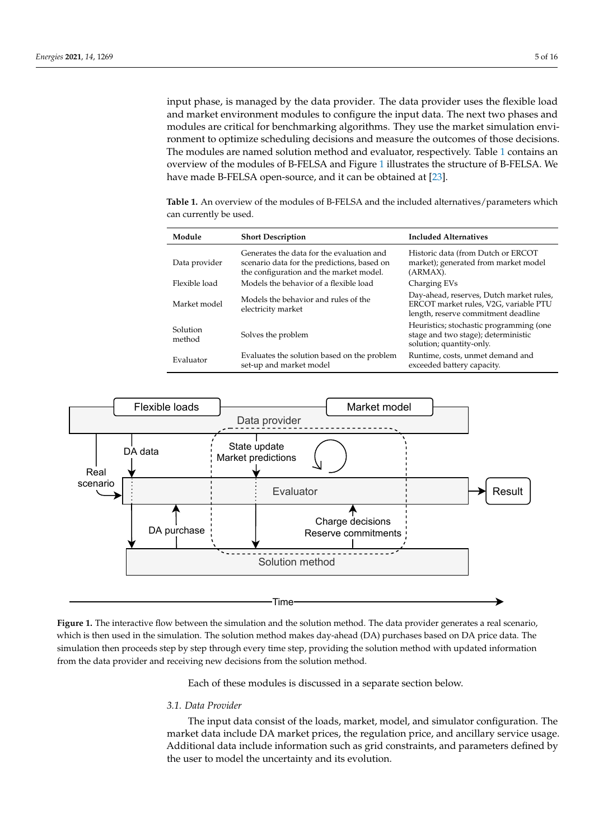input phase, is managed by the data provider. The data provider uses the flexible load and market environment modules to configure the input data. The next two phases and modules are critical for benchmarking algorithms. They use the market simulation environment to optimize scheduling decisions and measure the outcomes of those decisions. The modules are named solution method and evaluator, respectively. Table [1](#page-5-0) contains an overview of the modules of B-FELSA and Figure [1](#page-5-1) illustrates the structure of B-FELSA. We have made B-FELSA open-source, and it can be obtained at [\[23\]](#page-15-11).

<span id="page-5-0"></span>**Table 1.** An overview of the modules of B-FELSA and the included alternatives/parameters which can currently be used.

| Module             | <b>Short Description</b>                                                                                                            | <b>Included Alternatives</b>                                                                                             |
|--------------------|-------------------------------------------------------------------------------------------------------------------------------------|--------------------------------------------------------------------------------------------------------------------------|
| Data provider      | Generates the data for the evaluation and<br>scenario data for the predictions, based on<br>the configuration and the market model. | Historic data (from Dutch or ERCOT<br>market); generated from market model<br>(ARMAX).                                   |
| Flexible load      | Models the behavior of a flexible load                                                                                              | Charging EVs                                                                                                             |
| Market model       | Models the behavior and rules of the<br>electricity market                                                                          | Day-ahead, reserves, Dutch market rules,<br>ERCOT market rules, V2G, variable PTU<br>length, reserve commitment deadline |
| Solution<br>method | Solves the problem                                                                                                                  | Heuristics; stochastic programming (one<br>stage and two stage); deterministic<br>solution; quantity-only.               |
| Evaluator          | Evaluates the solution based on the problem<br>set-up and market model                                                              | Runtime, costs, unmet demand and<br>exceeded battery capacity.                                                           |

<span id="page-5-1"></span>

**Figure 1.** The interactive flow between the simulation and the solution method. The data provider generates a real scenario, which is then used in the simulation. The solution method makes day-ahead (DA) purchases based on DA price data. The simulation then proceeds step by step through every time step, providing the solution method with updated information from the data provider and receiving new decisions from the solution method.

Each of these modules is discussed in a separate section below.

# *3.1. Data Provider*

The input data consist of the loads, market, model, and simulator configuration. The market data include DA market prices, the regulation price, and ancillary service usage. Additional data include information such as grid constraints, and parameters defined by the user to model the uncertainty and its evolution.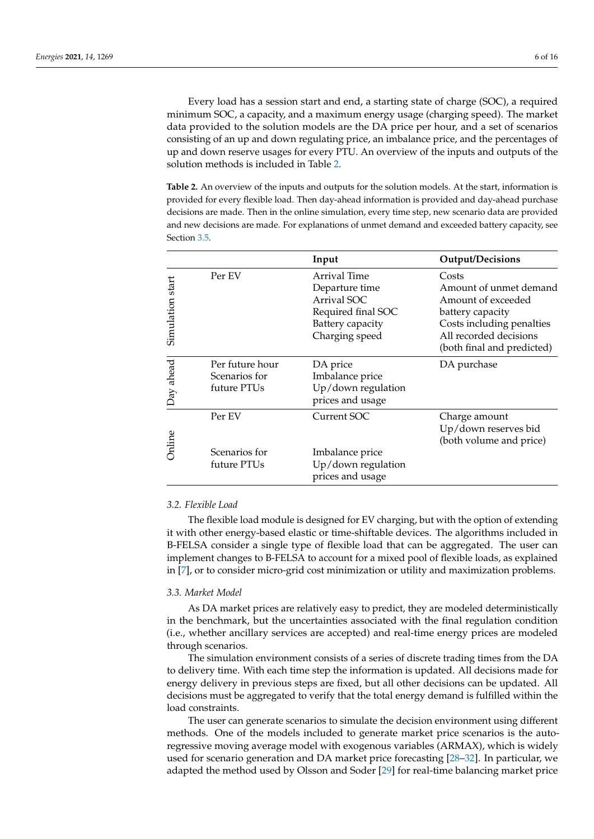Every load has a session start and end, a starting state of charge (SOC), a required minimum SOC, a capacity, and a maximum energy usage (charging speed). The market data provided to the solution models are the DA price per hour, and a set of scenarios consisting of an up and down regulating price, an imbalance price, and the percentages of up and down reserve usages for every PTU. An overview of the inputs and outputs of the solution methods is included in Table [2.](#page-6-0)

<span id="page-6-0"></span>**Table 2.** An overview of the inputs and outputs for the solution models. At the start, information is provided for every flexible load. Then day-ahead information is provided and day-ahead purchase decisions are made. Then in the online simulation, every time step, new scenario data are provided and new decisions are made. For explanations of unmet demand and exceeded battery capacity, see Section [3.5.](#page-8-1)

|                  |                                                 | Input                                                                                                     | <b>Output/Decisions</b>                                                                                                                                        |
|------------------|-------------------------------------------------|-----------------------------------------------------------------------------------------------------------|----------------------------------------------------------------------------------------------------------------------------------------------------------------|
| Simulation start | Per EV                                          | Arrival Time<br>Departure time<br>Arrival SOC<br>Required final SOC<br>Battery capacity<br>Charging speed | Costs<br>Amount of unmet demand<br>Amount of exceeded<br>battery capacity<br>Costs including penalties<br>All recorded decisions<br>(both final and predicted) |
| Day ahead        | Per future hour<br>Scenarios for<br>future PTUs | DA price<br>Imbalance price<br>Up/down regulation<br>prices and usage                                     | DA purchase                                                                                                                                                    |
| Online           | Per EV                                          | Current SOC                                                                                               | Charge amount<br>Up/down reserves bid<br>(both volume and price)                                                                                               |
|                  | Scenarios for<br>future PTUs                    | Imbalance price<br>Up/down regulation<br>prices and usage                                                 |                                                                                                                                                                |

#### *3.2. Flexible Load*

The flexible load module is designed for EV charging, but with the option of extending it with other energy-based elastic or time-shiftable devices. The algorithms included in B-FELSA consider a single type of flexible load that can be aggregated. The user can implement changes to B-FELSA to account for a mixed pool of flexible loads, as explained in [\[7\]](#page-14-6), or to consider micro-grid cost minimization or utility and maximization problems.

# *3.3. Market Model*

As DA market prices are relatively easy to predict, they are modeled deterministically in the benchmark, but the uncertainties associated with the final regulation condition (i.e., whether ancillary services are accepted) and real-time energy prices are modeled through scenarios.

The simulation environment consists of a series of discrete trading times from the DA to delivery time. With each time step the information is updated. All decisions made for energy delivery in previous steps are fixed, but all other decisions can be updated. All decisions must be aggregated to verify that the total energy demand is fulfilled within the load constraints.

The user can generate scenarios to simulate the decision environment using different methods. One of the models included to generate market price scenarios is the autoregressive moving average model with exogenous variables (ARMAX), which is widely used for scenario generation and DA market price forecasting [\[28–](#page-15-16)[32\]](#page-15-17). In particular, we adapted the method used by Olsson and Soder [\[29\]](#page-15-18) for real-time balancing market price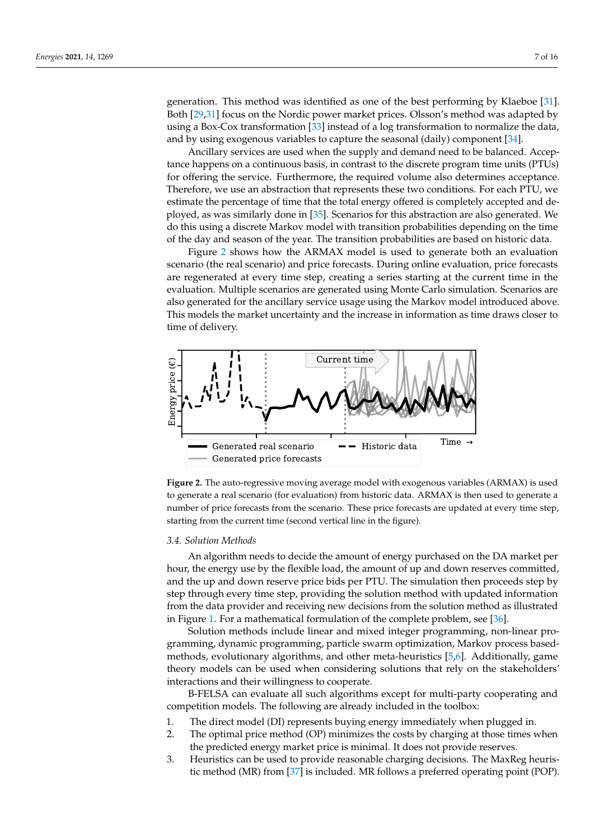generation. This method was identified as one of the best performing by Klaeboe [\[31\]](#page-15-19). Both [\[29,](#page-15-18)[31\]](#page-15-19) focus on the Nordic power market prices. Olsson's method was adapted by using a Box-Cox transformation [\[33\]](#page-15-20) instead of a log transformation to normalize the data, and by using exogenous variables to capture the seasonal (daily) component [\[34\]](#page-15-21).

Ancillary services are used when the supply and demand need to be balanced. Acceptance happens on a continuous basis, in contrast to the discrete program time units (PTUs) for offering the service. Furthermore, the required volume also determines acceptance. Therefore, we use an abstraction that represents these two conditions. For each PTU, we estimate the percentage of time that the total energy offered is completely accepted and deployed, as was similarly done in [\[35\]](#page-15-22). Scenarios for this abstraction are also generated. We do this using a discrete Markov model with transition probabilities depending on the time of the day and season of the year. The transition probabilities are based on historic data.

Figure [2](#page-7-0) shows how the ARMAX model is used to generate both an evaluation scenario (the real scenario) and price forecasts. During online evaluation, price forecasts are regenerated at every time step, creating a series starting at the current time in the evaluation. Multiple scenarios are generated using Monte Carlo simulation. Scenarios are also generated for the ancillary service usage using the Markov model introduced above. This models the market uncertainty and the increase in information as time draws closer to time of delivery.

<span id="page-7-0"></span>

**Figure 2.** The auto-regressive moving average model with exogenous variables (ARMAX) is used to generate a real scenario (for evaluation) from historic data. ARMAX is then used to generate a number of price forecasts from the scenario. These price forecasts are updated at every time step, starting from the current time (second vertical line in the figure).

## *3.4. Solution Methods*

An algorithm needs to decide the amount of energy purchased on the DA market per hour, the energy use by the flexible load, the amount of up and down reserves committed, and the up and down reserve price bids per PTU. The simulation then proceeds step by step through every time step, providing the solution method with updated information from the data provider and receiving new decisions from the solution method as illustrated in Figure [1.](#page-5-1) For a mathematical formulation of the complete problem, see [\[36\]](#page-15-23).

Solution methods include linear and mixed integer programming, non-linear programming, dynamic programming, particle swarm optimization, Markov process basedmethods, evolutionary algorithms, and other meta-heuristics [\[5](#page-14-4)[,6\]](#page-14-5). Additionally, game theory models can be used when considering solutions that rely on the stakeholders' interactions and their willingness to cooperate.

B-FELSA can evaluate all such algorithms except for multi-party cooperating and competition models. The following are already included in the toolbox:

- 1. The direct model (DI) represents buying energy immediately when plugged in.
- 2. The optimal price method (OP) minimizes the costs by charging at those times when the predicted energy market price is minimal. It does not provide reserves.
- 3. Heuristics can be used to provide reasonable charging decisions. The MaxReg heuristic method (MR) from [\[37\]](#page-15-24) is included. MR follows a preferred operating point (POP).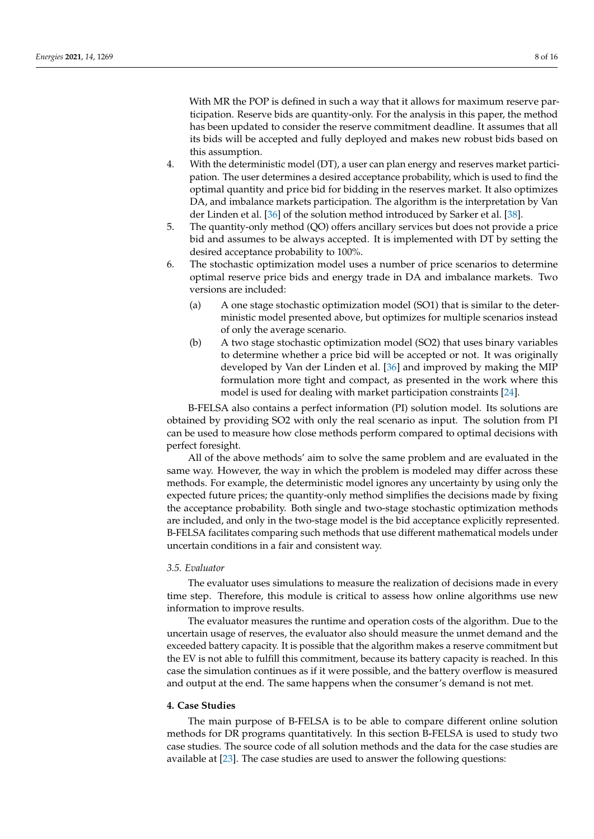With MR the POP is defined in such a way that it allows for maximum reserve participation. Reserve bids are quantity-only. For the analysis in this paper, the method has been updated to consider the reserve commitment deadline. It assumes that all its bids will be accepted and fully deployed and makes new robust bids based on this assumption.

- 4. With the deterministic model (DT), a user can plan energy and reserves market participation. The user determines a desired acceptance probability, which is used to find the optimal quantity and price bid for bidding in the reserves market. It also optimizes DA, and imbalance markets participation. The algorithm is the interpretation by Van der Linden et al. [\[36\]](#page-15-23) of the solution method introduced by Sarker et al. [\[38\]](#page-15-25).
- 5. The quantity-only method (QO) offers ancillary services but does not provide a price bid and assumes to be always accepted. It is implemented with DT by setting the desired acceptance probability to 100%.
- 6. The stochastic optimization model uses a number of price scenarios to determine optimal reserve price bids and energy trade in DA and imbalance markets. Two versions are included:
	- (a) A one stage stochastic optimization model (SO1) that is similar to the deterministic model presented above, but optimizes for multiple scenarios instead of only the average scenario.
	- (b) A two stage stochastic optimization model (SO2) that uses binary variables to determine whether a price bid will be accepted or not. It was originally developed by Van der Linden et al. [\[36\]](#page-15-23) and improved by making the MIP formulation more tight and compact, as presented in the work where this model is used for dealing with market participation constraints [\[24\]](#page-15-12).

B-FELSA also contains a perfect information (PI) solution model. Its solutions are obtained by providing SO2 with only the real scenario as input. The solution from PI can be used to measure how close methods perform compared to optimal decisions with perfect foresight.

All of the above methods' aim to solve the same problem and are evaluated in the same way. However, the way in which the problem is modeled may differ across these methods. For example, the deterministic model ignores any uncertainty by using only the expected future prices; the quantity-only method simplifies the decisions made by fixing the acceptance probability. Both single and two-stage stochastic optimization methods are included, and only in the two-stage model is the bid acceptance explicitly represented. B-FELSA facilitates comparing such methods that use different mathematical models under uncertain conditions in a fair and consistent way.

#### <span id="page-8-1"></span>*3.5. Evaluator*

The evaluator uses simulations to measure the realization of decisions made in every time step. Therefore, this module is critical to assess how online algorithms use new information to improve results.

The evaluator measures the runtime and operation costs of the algorithm. Due to the uncertain usage of reserves, the evaluator also should measure the unmet demand and the exceeded battery capacity. It is possible that the algorithm makes a reserve commitment but the EV is not able to fulfill this commitment, because its battery capacity is reached. In this case the simulation continues as if it were possible, and the battery overflow is measured and output at the end. The same happens when the consumer's demand is not met.

#### <span id="page-8-0"></span>**4. Case Studies**

The main purpose of B-FELSA is to be able to compare different online solution methods for DR programs quantitatively. In this section B-FELSA is used to study two case studies. The source code of all solution methods and the data for the case studies are available at [\[23\]](#page-15-11). The case studies are used to answer the following questions: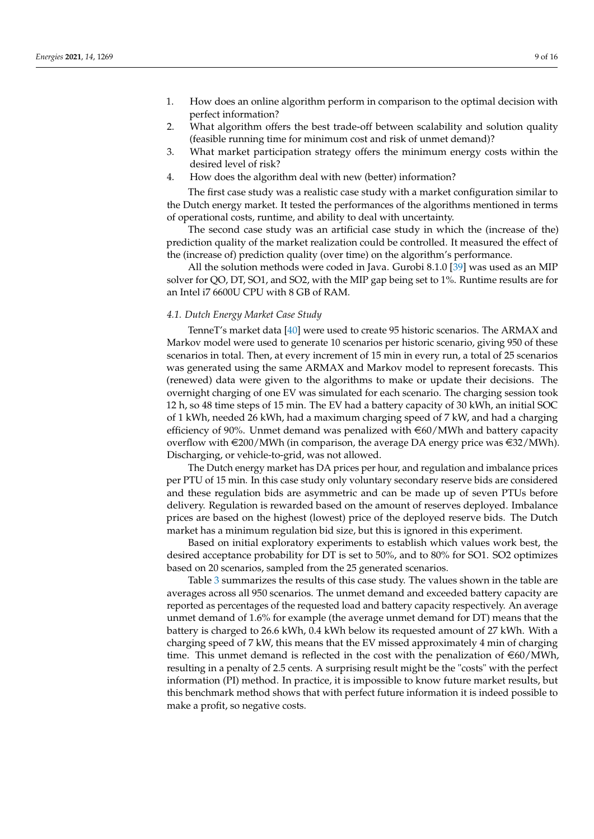- 1. How does an online algorithm perform in comparison to the optimal decision with perfect information?
- 2. What algorithm offers the best trade-off between scalability and solution quality (feasible running time for minimum cost and risk of unmet demand)?
- 3. What market participation strategy offers the minimum energy costs within the desired level of risk?
- 4. How does the algorithm deal with new (better) information?

The first case study was a realistic case study with a market configuration similar to the Dutch energy market. It tested the performances of the algorithms mentioned in terms of operational costs, runtime, and ability to deal with uncertainty.

The second case study was an artificial case study in which the (increase of the) prediction quality of the market realization could be controlled. It measured the effect of the (increase of) prediction quality (over time) on the algorithm's performance.

All the solution methods were coded in Java. Gurobi 8.1.0 [\[39\]](#page-16-0) was used as an MIP solver for QO, DT, SO1, and SO2, with the MIP gap being set to 1%. Runtime results are for an Intel i7 6600U CPU with 8 GB of RAM.

#### *4.1. Dutch Energy Market Case Study*

TenneT's market data [\[40\]](#page-16-1) were used to create 95 historic scenarios. The ARMAX and Markov model were used to generate 10 scenarios per historic scenario, giving 950 of these scenarios in total. Then, at every increment of 15 min in every run, a total of 25 scenarios was generated using the same ARMAX and Markov model to represent forecasts. This (renewed) data were given to the algorithms to make or update their decisions. The overnight charging of one EV was simulated for each scenario. The charging session took 12 h, so 48 time steps of 15 min. The EV had a battery capacity of 30 kWh, an initial SOC of 1 kWh, needed 26 kWh, had a maximum charging speed of 7 kW, and had a charging efficiency of 90%. Unmet demand was penalized with  $\epsilon$ 60/MWh and battery capacity overflow with  $\epsilon$ 200/MWh (in comparison, the average DA energy price was  $\epsilon$ 32/MWh). Discharging, or vehicle-to-grid, was not allowed.

The Dutch energy market has DA prices per hour, and regulation and imbalance prices per PTU of 15 min. In this case study only voluntary secondary reserve bids are considered and these regulation bids are asymmetric and can be made up of seven PTUs before delivery. Regulation is rewarded based on the amount of reserves deployed. Imbalance prices are based on the highest (lowest) price of the deployed reserve bids. The Dutch market has a minimum regulation bid size, but this is ignored in this experiment.

Based on initial exploratory experiments to establish which values work best, the desired acceptance probability for DT is set to 50%, and to 80% for SO1. SO2 optimizes based on 20 scenarios, sampled from the 25 generated scenarios.

Table [3](#page-10-0) summarizes the results of this case study. The values shown in the table are averages across all 950 scenarios. The unmet demand and exceeded battery capacity are reported as percentages of the requested load and battery capacity respectively. An average unmet demand of 1.6% for example (the average unmet demand for DT) means that the battery is charged to 26.6 kWh, 0.4 kWh below its requested amount of 27 kWh. With a charging speed of 7 kW, this means that the EV missed approximately 4 min of charging time. This unmet demand is reflected in the cost with the penalization of  $\epsilon$ 60/MWh, resulting in a penalty of 2.5 cents. A surprising result might be the "costs" with the perfect information (PI) method. In practice, it is impossible to know future market results, but this benchmark method shows that with perfect future information it is indeed possible to make a profit, so negative costs.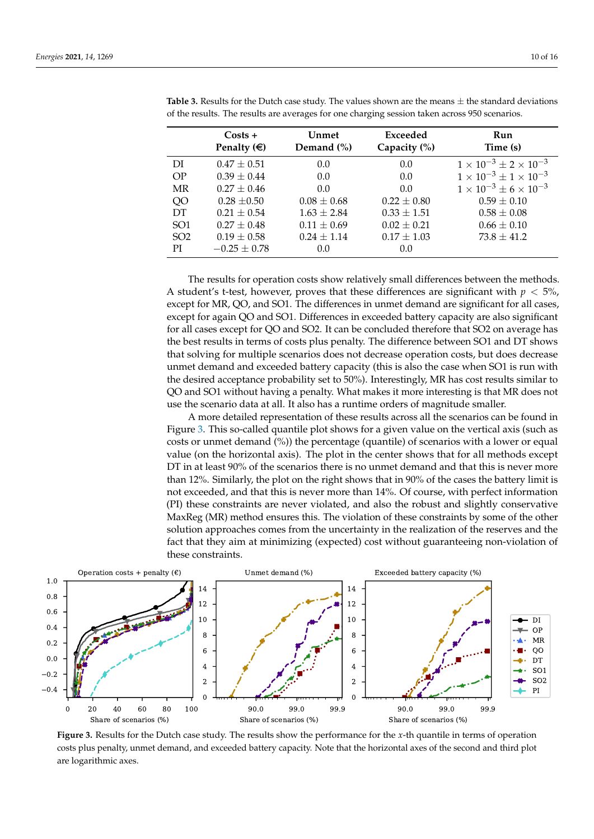|                 | $Costs +$<br>Penalty $(\epsilon)$ | Unmet<br>Demand $(\% )$ | Exceeded<br>Capacity (%) | Run<br>Time (s)                         |
|-----------------|-----------------------------------|-------------------------|--------------------------|-----------------------------------------|
| DI              | $0.47 \pm 0.51$                   | 0.0                     | 0.0                      | $1 \times 10^{-3} \pm 2 \times 10^{-3}$ |
| OP              | $0.39 \pm 0.44$                   | 0.0                     | 0.0                      | $1 \times 10^{-3} \pm 1 \times 10^{-3}$ |
| <b>MR</b>       | $0.27 \pm 0.46$                   | 0.0                     | 0.0                      | $1 \times 10^{-3} \pm 6 \times 10^{-3}$ |
| QO              | $0.28 \pm 0.50$                   | $0.08 \pm 0.68$         | $0.22 \pm 0.80$          | $0.59 \pm 0.10$                         |
| DT.             | $0.21 \pm 0.54$                   | $1.63 \pm 2.84$         | $0.33 \pm 1.51$          | $0.58 \pm 0.08$                         |
| SO <sub>1</sub> | $0.27 \pm 0.48$                   | $0.11 \pm 0.69$         | $0.02 \pm 0.21$          | $0.66 \pm 0.10$                         |
| SO <sub>2</sub> | $0.19 \pm 0.58$                   | $0.24 \pm 1.14$         | $0.17 \pm 1.03$          | $73.8 \pm 41.2$                         |
| РI              | $-0.25 \pm 0.78$                  | 0.0                     | 0.0                      |                                         |

<span id="page-10-0"></span>**Table 3.** Results for the Dutch case study. The values shown are the means  $\pm$  the standard deviations of the results. The results are averages for one charging session taken across 950 scenarios.

The results for operation costs show relatively small differences between the methods. A student's t-test, however, proves that these differences are significant with  $p < 5\%$ , except for MR, QO, and SO1. The differences in unmet demand are significant for all cases, except for again QO and SO1. Differences in exceeded battery capacity are also significant for all cases except for QO and SO2. It can be concluded therefore that SO2 on average has the best results in terms of costs plus penalty. The difference between SO1 and DT shows that solving for multiple scenarios does not decrease operation costs, but does decrease unmet demand and exceeded battery capacity (this is also the case when SO1 is run with the desired acceptance probability set to 50%). Interestingly, MR has cost results similar to QO and SO1 without having a penalty. What makes it more interesting is that MR does not use the scenario data at all. It also has a runtime orders of magnitude smaller.

A more detailed representation of these results across all the scenarios can be found in Figure [3.](#page-10-1) This so-called quantile plot shows for a given value on the vertical axis (such as costs or unmet demand (%)) the percentage (quantile) of scenarios with a lower or equal value (on the horizontal axis). The plot in the center shows that for all methods except DT in at least 90% of the scenarios there is no unmet demand and that this is never more than 12%. Similarly, the plot on the right shows that in 90% of the cases the battery limit is not exceeded, and that this is never more than 14%. Of course, with perfect information (PI) these constraints are never violated, and also the robust and slightly conservative MaxReg (MR) method ensures this. The violation of these constraints by some of the other solution approaches comes from the uncertainty in the realization of the reserves and the fact that they aim at minimizing (expected) cost without guaranteeing non-violation of these constraints.

<span id="page-10-1"></span>

**Figure 3.** Results for the Dutch case study. The results show the performance for the *x*-th quantile in terms of operation costs plus penalty, unmet demand, and exceeded battery capacity. Note that the horizontal axes of the second and third plot are logarithmic axes.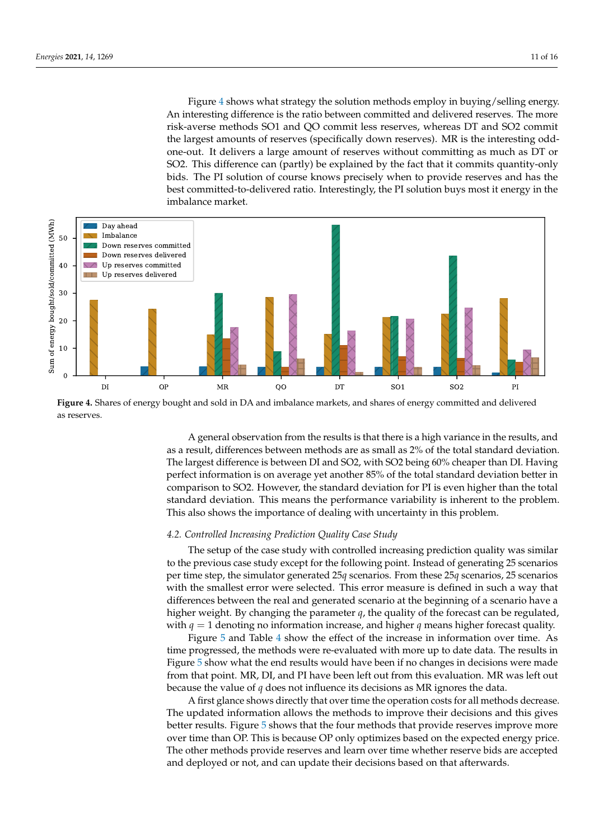Figure [4](#page-11-0) shows what strategy the solution methods employ in buying/selling energy. An interesting difference is the ratio between committed and delivered reserves. The more risk-averse methods SO1 and QO commit less reserves, whereas DT and SO2 commit the largest amounts of reserves (specifically down reserves). MR is the interesting oddone-out. It delivers a large amount of reserves without committing as much as DT or SO2. This difference can (partly) be explained by the fact that it commits quantity-only bids. The PI solution of course knows precisely when to provide reserves and has the best committed-to-delivered ratio. Interestingly, the PI solution buys most it energy in the imbalance market.

<span id="page-11-0"></span>

**Figure 4.** Shares of energy bought and sold in DA and imbalance markets, and shares of energy committed and delivered as reserves.

A general observation from the results is that there is a high variance in the results, and as a result, differences between methods are as small as 2% of the total standard deviation. The largest difference is between DI and SO2, with SO2 being 60% cheaper than DI. Having perfect information is on average yet another 85% of the total standard deviation better in comparison to SO2. However, the standard deviation for PI is even higher than the total standard deviation. This means the performance variability is inherent to the problem. This also shows the importance of dealing with uncertainty in this problem.

# *4.2. Controlled Increasing Prediction Quality Case Study*

The setup of the case study with controlled increasing prediction quality was similar to the previous case study except for the following point. Instead of generating 25 scenarios per time step, the simulator generated 25*q* scenarios. From these 25*q* scenarios, 25 scenarios with the smallest error were selected. This error measure is defined in such a way that differences between the real and generated scenario at the beginning of a scenario have a higher weight. By changing the parameter *q*, the quality of the forecast can be regulated, with  $q = 1$  denoting no information increase, and higher q means higher forecast quality.

Figure [5](#page-12-1) and Table [4](#page-12-2) show the effect of the increase in information over time. As time progressed, the methods were re-evaluated with more up to date data. The results in Figure [5](#page-12-1) show what the end results would have been if no changes in decisions were made from that point. MR, DI, and PI have been left out from this evaluation. MR was left out because the value of *q* does not influence its decisions as MR ignores the data.

A first glance shows directly that over time the operation costs for all methods decrease. The updated information allows the methods to improve their decisions and this gives better results. Figure [5](#page-12-1) shows that the four methods that provide reserves improve more over time than OP. This is because OP only optimizes based on the expected energy price. The other methods provide reserves and learn over time whether reserve bids are accepted and deployed or not, and can update their decisions based on that afterwards.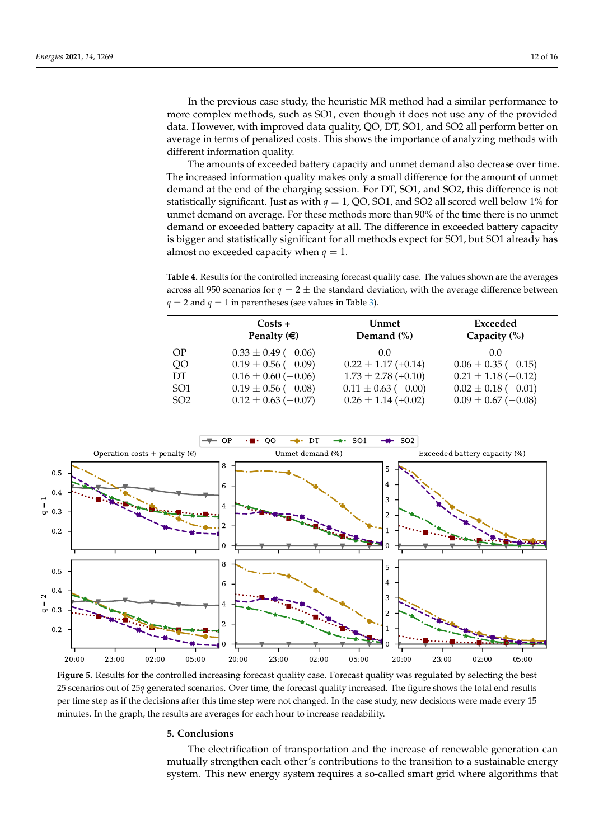In the previous case study, the heuristic MR method had a similar performance to more complex methods, such as SO1, even though it does not use any of the provided data. However, with improved data quality, QO, DT, SO1, and SO2 all perform better on average in terms of penalized costs. This shows the importance of analyzing methods with different information quality.

The amounts of exceeded battery capacity and unmet demand also decrease over time. The increased information quality makes only a small difference for the amount of unmet demand at the end of the charging session. For DT, SO1, and SO2, this difference is not statistically significant. Just as with  $q = 1$ , QO, SO1, and SO2 all scored well below 1% for unmet demand on average. For these methods more than 90% of the time there is no unmet demand or exceeded battery capacity at all. The difference in exceeded battery capacity is bigger and statistically significant for all methods expect for SO1, but SO1 already has almost no exceeded capacity when  $q = 1$ .

<span id="page-12-2"></span>**Table 4.** Results for the controlled increasing forecast quality case. The values shown are the averages across all 950 scenarios for  $q = 2 \pm$  the standard deviation, with the average difference between  $q = 2$  and  $q = 1$  in parentheses (see values in Table [3\)](#page-10-0).

|                 | $Costs +$               | Unmet                   | <b>Exceeded</b>         |
|-----------------|-------------------------|-------------------------|-------------------------|
|                 | Penalty $(\epsilon)$    | Demand $(\% )$          | Capacity (%)            |
| OP              | $0.33 \pm 0.49 (-0.06)$ | 0.0                     | 0.0                     |
| QO              | $0.19 \pm 0.56$ (-0.09) | $0.22 \pm 1.17$ (+0.14) | $0.06 \pm 0.35$ (-0.15) |
| <b>DT</b>       | $0.16 \pm 0.60$ (-0.06) | $1.73 \pm 2.78$ (+0.10) | $0.21 \pm 1.18 (-0.12)$ |
| SO <sub>1</sub> | $0.19 \pm 0.56$ (-0.08) | $0.11 \pm 0.63$ (-0.00) | $0.02 \pm 0.18 (-0.01)$ |
| SO <sub>2</sub> | $0.12 \pm 0.63$ (-0.07) | $0.26 \pm 1.14$ (+0.02) | $0.09 \pm 0.67 (-0.08)$ |

<span id="page-12-1"></span>

**Figure 5.** Results for the controlled increasing forecast quality case. Forecast quality was regulated by selecting the best 25 scenarios out of 25*q* generated scenarios. Over time, the forecast quality increased. The figure shows the total end results per time step as if the decisions after this time step were not changed. In the case study, new decisions were made every 15 minutes. In the graph, the results are averages for each hour to increase readability.

# <span id="page-12-0"></span>**5. Conclusions**

The electrification of transportation and the increase of renewable generation can mutually strengthen each other's contributions to the transition to a sustainable energy system. This new energy system requires a so-called smart grid where algorithms that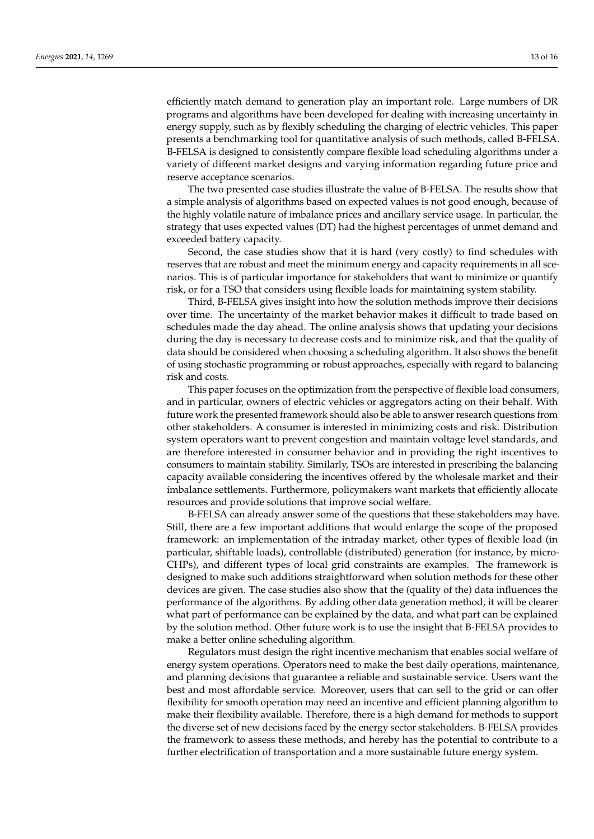efficiently match demand to generation play an important role. Large numbers of DR programs and algorithms have been developed for dealing with increasing uncertainty in energy supply, such as by flexibly scheduling the charging of electric vehicles. This paper presents a benchmarking tool for quantitative analysis of such methods, called B-FELSA. B-FELSA is designed to consistently compare flexible load scheduling algorithms under a variety of different market designs and varying information regarding future price and reserve acceptance scenarios.

The two presented case studies illustrate the value of B-FELSA. The results show that a simple analysis of algorithms based on expected values is not good enough, because of the highly volatile nature of imbalance prices and ancillary service usage. In particular, the strategy that uses expected values (DT) had the highest percentages of unmet demand and exceeded battery capacity.

Second, the case studies show that it is hard (very costly) to find schedules with reserves that are robust and meet the minimum energy and capacity requirements in all scenarios. This is of particular importance for stakeholders that want to minimize or quantify risk, or for a TSO that considers using flexible loads for maintaining system stability.

Third, B-FELSA gives insight into how the solution methods improve their decisions over time. The uncertainty of the market behavior makes it difficult to trade based on schedules made the day ahead. The online analysis shows that updating your decisions during the day is necessary to decrease costs and to minimize risk, and that the quality of data should be considered when choosing a scheduling algorithm. It also shows the benefit of using stochastic programming or robust approaches, especially with regard to balancing risk and costs.

This paper focuses on the optimization from the perspective of flexible load consumers, and in particular, owners of electric vehicles or aggregators acting on their behalf. With future work the presented framework should also be able to answer research questions from other stakeholders. A consumer is interested in minimizing costs and risk. Distribution system operators want to prevent congestion and maintain voltage level standards, and are therefore interested in consumer behavior and in providing the right incentives to consumers to maintain stability. Similarly, TSOs are interested in prescribing the balancing capacity available considering the incentives offered by the wholesale market and their imbalance settlements. Furthermore, policymakers want markets that efficiently allocate resources and provide solutions that improve social welfare.

B-FELSA can already answer some of the questions that these stakeholders may have. Still, there are a few important additions that would enlarge the scope of the proposed framework: an implementation of the intraday market, other types of flexible load (in particular, shiftable loads), controllable (distributed) generation (for instance, by micro-CHPs), and different types of local grid constraints are examples. The framework is designed to make such additions straightforward when solution methods for these other devices are given. The case studies also show that the (quality of the) data influences the performance of the algorithms. By adding other data generation method, it will be clearer what part of performance can be explained by the data, and what part can be explained by the solution method. Other future work is to use the insight that B-FELSA provides to make a better online scheduling algorithm.

Regulators must design the right incentive mechanism that enables social welfare of energy system operations. Operators need to make the best daily operations, maintenance, and planning decisions that guarantee a reliable and sustainable service. Users want the best and most affordable service. Moreover, users that can sell to the grid or can offer flexibility for smooth operation may need an incentive and efficient planning algorithm to make their flexibility available. Therefore, there is a high demand for methods to support the diverse set of new decisions faced by the energy sector stakeholders. B-FELSA provides the framework to assess these methods, and hereby has the potential to contribute to a further electrification of transportation and a more sustainable future energy system.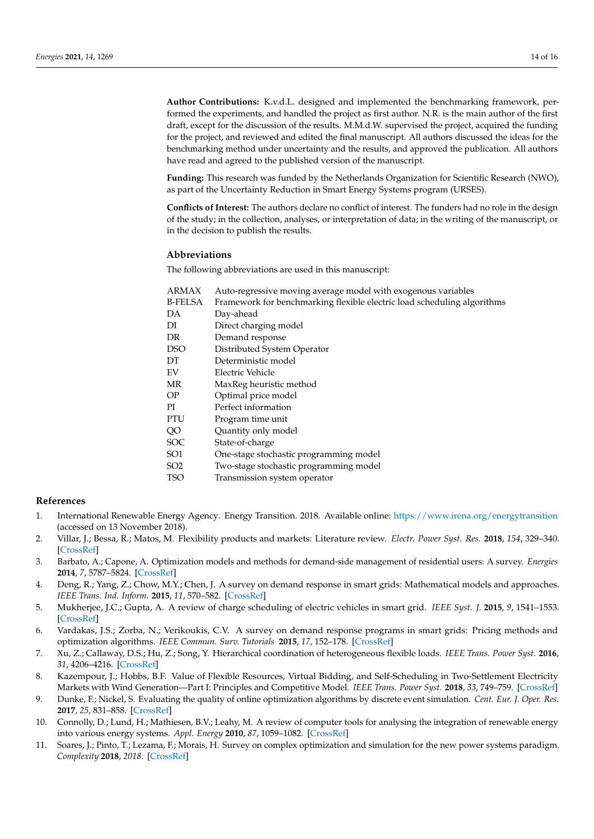**Author Contributions:** K.v.d.L. designed and implemented the benchmarking framework, performed the experiments, and handled the project as first author. N.R. is the main author of the first draft, except for the discussion of the results. M.M.d.W. supervised the project, acquired the funding for the project, and reviewed and edited the final manuscript. All authors discussed the ideas for the benchmarking method under uncertainty and the results, and approved the publication. All authors have read and agreed to the published version of the manuscript.

**Funding:** This research was funded by the Netherlands Organization for Scientific Research (NWO), as part of the Uncertainty Reduction in Smart Energy Systems program (URSES).

**Conflicts of Interest:** The authors declare no conflict of interest. The funders had no role in the design of the study; in the collection, analyses, or interpretation of data; in the writing of the manuscript, or in the decision to publish the results.

# **Abbreviations**

The following abbreviations are used in this manuscript:

- ARMAX Auto-regressive moving average model with exogenous variables
- B-FELSA Framework for benchmarking flexible electric load scheduling algorithms
- DA Dav-ahead
- DI Direct charging model
- DR Demand response
- DSO Distributed System Operator
- DT Deterministic model
- EV Electric Vehicle
- MR MaxReg heuristic method
- OP Optimal price model
- PI Perfect information
- PTU Program time unit
- QO Quantity only model
- SOC State-of-charge
- SO1 One-stage stochastic programming model
- SO2 Two-stage stochastic programming model
- TSO Transmission system operator

# **References**

- <span id="page-14-0"></span>1. International Renewable Energy Agency. Energy Transition. 2018. Available online: <https://www.irena.org/energytransition> (accessed on 13 November 2018).
- <span id="page-14-1"></span>2. Villar, J.; Bessa, R.; Matos, M. Flexibility products and markets: Literature review. *Electr. Power Syst. Res.* **2018**, *154*, 329–340. [\[CrossRef\]](http://doi.org/10.1016/j.epsr.2017.09.005)
- <span id="page-14-2"></span>3. Barbato, A.; Capone, A. Optimization models and methods for demand-side management of residential users: A survey. *Energies* **2014**, *7*, 5787–5824. [\[CrossRef\]](http://dx.doi.org/10.3390/en7095787)
- <span id="page-14-3"></span>4. Deng, R.; Yang, Z.; Chow, M.Y.; Chen, J. A survey on demand response in smart grids: Mathematical models and approaches. *IEEE Trans. Ind. Inform.* **2015**, *11*, 570–582. [\[CrossRef\]](http://dx.doi.org/10.1109/TII.2015.2414719)
- <span id="page-14-4"></span>5. Mukherjee, J.C.; Gupta, A. A review of charge scheduling of electric vehicles in smart grid. *IEEE Syst. J.* **2015**, *9*, 1541–1553. [\[CrossRef\]](http://dx.doi.org/10.1109/JSYST.2014.2356559)
- <span id="page-14-5"></span>6. Vardakas, J.S.; Zorba, N.; Verikoukis, C.V. A survey on demand response programs in smart grids: Pricing methods and optimization algorithms. *IEEE Commun. Surv. Tutorials* **2015**, *17*, 152–178. [\[CrossRef\]](http://dx.doi.org/10.1109/COMST.2014.2341586)
- <span id="page-14-6"></span>7. Xu, Z.; Callaway, D.S.; Hu, Z.; Song, Y. Hierarchical coordination of heterogeneous flexible loads. *IEEE Trans. Power Syst.* **2016**, *31*, 4206–4216. [\[CrossRef\]](http://dx.doi.org/10.1109/TPWRS.2016.2516992)
- <span id="page-14-7"></span>8. Kazempour, J.; Hobbs, B.F. Value of Flexible Resources, Virtual Bidding, and Self-Scheduling in Two-Settlement Electricity Markets with Wind Generation—Part I: Principles and Competitive Model. *IEEE Trans. Power Syst.* **2018**, *33*, 749–759. [\[CrossRef\]](http://dx.doi.org/10.1109/TPWRS.2017.2699687)
- <span id="page-14-8"></span>9. Dunke, F.; Nickel, S. Evaluating the quality of online optimization algorithms by discrete event simulation. *Cent. Eur. J. Oper. Res.* **2017**, *25*, 831–858. [\[CrossRef\]](http://dx.doi.org/10.1007/s10100-016-0455-6)
- <span id="page-14-9"></span>10. Connolly, D.; Lund, H.; Mathiesen, B.V.; Leahy, M. A review of computer tools for analysing the integration of renewable energy into various energy systems. *Appl. Energy* **2010**, *87*, 1059–1082. [\[CrossRef\]](http://dx.doi.org/10.1016/j.apenergy.2009.09.026)
- <span id="page-14-10"></span>11. Soares, J.; Pinto, T.; Lezama, F.; Morais, H. Survey on complex optimization and simulation for the new power systems paradigm. *Complexity* **2018**, *2018*. [\[CrossRef\]](http://dx.doi.org/10.1155/2018/2340628)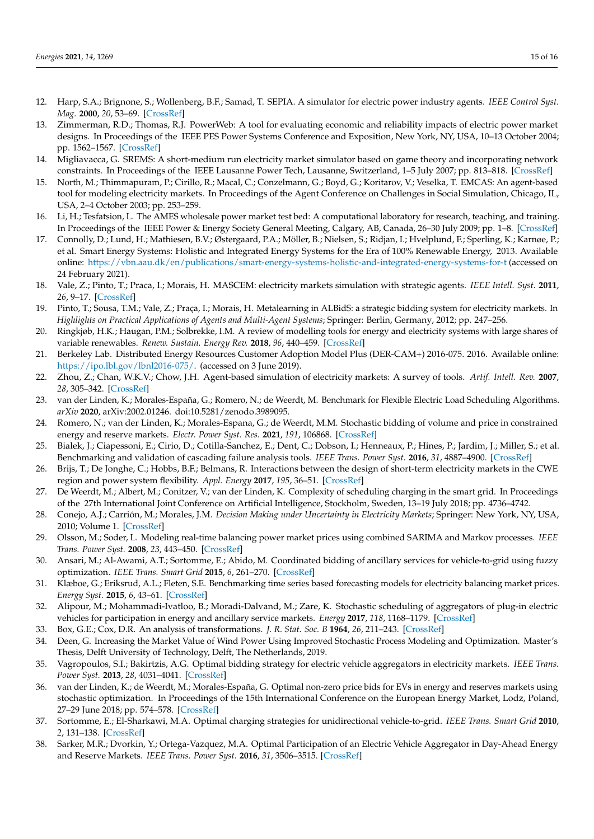- <span id="page-15-0"></span>12. Harp, S.A.; Brignone, S.; Wollenberg, B.F.; Samad, T. SEPIA. A simulator for electric power industry agents. *IEEE Control Syst. Mag.* **2000**, *20*, 53–69. [\[CrossRef\]](http://dx.doi.org/10.1109/37.856179)
- <span id="page-15-1"></span>13. Zimmerman, R.D.; Thomas, R.J. PowerWeb: A tool for evaluating economic and reliability impacts of electric power market designs. In Proceedings of the IEEE PES Power Systems Conference and Exposition, New York, NY, USA, 10–13 October 2004; pp. 1562–1567. [\[CrossRef\]](http://dx.doi.org/10.1109/PSCE.2004.1397612)
- <span id="page-15-2"></span>14. Migliavacca, G. SREMS: A short-medium run electricity market simulator based on game theory and incorporating network constraints. In Proceedings of the IEEE Lausanne Power Tech, Lausanne, Switzerland, 1–5 July 2007; pp. 813–818. [\[CrossRef\]](http://dx.doi.org/10.1109/PCT.2007.4538420)
- <span id="page-15-3"></span>15. North, M.; Thimmapuram, P.; Cirillo, R.; Macal, C.; Conzelmann, G.; Boyd, G.; Koritarov, V.; Veselka, T. EMCAS: An agent-based tool for modeling electricity markets. In Proceedings of the Agent Conference on Challenges in Social Simulation, Chicago, IL, USA, 2–4 October 2003; pp. 253–259.
- <span id="page-15-4"></span>16. Li, H.; Tesfatsion, L. The AMES wholesale power market test bed: A computational laboratory for research, teaching, and training. In Proceedings of the IEEE Power & Energy Society General Meeting, Calgary, AB, Canada, 26–30 July 2009; pp. 1–8. [\[CrossRef\]](http://dx.doi.org/10.1109/PES.2009.5275969)
- <span id="page-15-5"></span>17. Connolly, D.; Lund, H.; Mathiesen, B.V.; Østergaard, P.A.; Möller, B.; Nielsen, S.; Ridjan, I.; Hvelplund, F.; Sperling, K.; Karnøe, P.; et al. Smart Energy Systems: Holistic and Integrated Energy Systems for the Era of 100% Renewable Energy, 2013. Available online: <https://vbn.aau.dk/en/publications/smart-energy-systems-holistic-and-integrated-energy-systems-for-t> (accessed on 24 February 2021).
- <span id="page-15-6"></span>18. Vale, Z.; Pinto, T.; Praca, I.; Morais, H. MASCEM: electricity markets simulation with strategic agents. *IEEE Intell. Syst.* **2011**, *26*, 9–17. [\[CrossRef\]](http://dx.doi.org/10.1109/MIS.2011.3)
- <span id="page-15-7"></span>19. Pinto, T.; Sousa, T.M.; Vale, Z.; Praça, I.; Morais, H. Metalearning in ALBidS: a strategic bidding system for electricity markets. In *Highlights on Practical Applications of Agents and Multi-Agent Systems*; Springer: Berlin, Germany, 2012; pp. 247–256.
- <span id="page-15-8"></span>20. Ringkjøb, H.K.; Haugan, P.M.; Solbrekke, I.M. A review of modelling tools for energy and electricity systems with large shares of variable renewables. *Renew. Sustain. Energy Rev.* **2018**, *96*, 440–459. [\[CrossRef\]](http://dx.doi.org/10.1016/j.rser.2018.08.002)
- <span id="page-15-9"></span>21. Berkeley Lab. Distributed Energy Resources Customer Adoption Model Plus (DER-CAM+) 2016-075. 2016. Available online: [https://ipo.lbl.gov/lbnl2016-075/.](https://ipo.lbl.gov/lbnl2016-075/) (accessed on 3 June 2019).
- <span id="page-15-10"></span>22. Zhou, Z.; Chan, W.K.V.; Chow, J.H. Agent-based simulation of electricity markets: A survey of tools. *Artif. Intell. Rev.* **2007**, *28*, 305–342. [\[CrossRef\]](http://dx.doi.org/10.1007/s10462-009-9105-x)
- <span id="page-15-11"></span>23. van der Linden, K.; Morales-España, G.; Romero, N.; de Weerdt, M. Benchmark for Flexible Electric Load Scheduling Algorithms. *arXiv* **2020**, arXiv:2002.01246. doi[:10.5281/zenodo.3989095.](https://doi.org/10.5281/zenodo.3989095)
- <span id="page-15-12"></span>24. Romero, N.; van der Linden, K.; Morales-Espana, G.; de Weerdt, M.M. Stochastic bidding of volume and price in constrained energy and reserve markets. *Electr. Power Syst. Res.* **2021**, *191*, 106868. [\[CrossRef\]](http://dx.doi.org/10.1016/j.epsr.2020.106868)
- <span id="page-15-13"></span>25. Bialek, J.; Ciapessoni, E.; Cirio, D.; Cotilla-Sanchez, E.; Dent, C.; Dobson, I.; Henneaux, P.; Hines, P.; Jardim, J.; Miller, S.; et al. Benchmarking and validation of cascading failure analysis tools. *IEEE Trans. Power Syst.* **2016**, *31*, 4887–4900. [\[CrossRef\]](http://dx.doi.org/10.1109/TPWRS.2016.2518660)
- <span id="page-15-14"></span>26. Brijs, T.; De Jonghe, C.; Hobbs, B.F.; Belmans, R. Interactions between the design of short-term electricity markets in the CWE region and power system flexibility. *Appl. Energy* **2017**, *195*, 36–51. [\[CrossRef\]](http://dx.doi.org/10.1016/j.apenergy.2017.03.026)
- <span id="page-15-15"></span>27. De Weerdt, M.; Albert, M.; Conitzer, V.; van der Linden, K. Complexity of scheduling charging in the smart grid. In Proceedings of the 27th International Joint Conference on Artificial Intelligence, Stockholm, Sweden, 13–19 July 2018; pp. 4736–4742.
- <span id="page-15-16"></span>28. Conejo, A.J.; Carrión, M.; Morales, J.M. *Decision Making under Uncertainty in Electricity Markets*; Springer: New York, NY, USA, 2010; Volume 1. [\[CrossRef\]](http://dx.doi.org/10.1007/978-1-4419-7421-1)
- <span id="page-15-18"></span>29. Olsson, M.; Soder, L. Modeling real-time balancing power market prices using combined SARIMA and Markov processes. *IEEE Trans. Power Syst.* **2008**, *23*, 443–450. [\[CrossRef\]](http://dx.doi.org/10.1109/TPWRS.2008.920046)
- 30. Ansari, M.; Al-Awami, A.T.; Sortomme, E.; Abido, M. Coordinated bidding of ancillary services for vehicle-to-grid using fuzzy optimization. *IEEE Trans. Smart Grid* **2015**, *6*, 261–270. [\[CrossRef\]](http://dx.doi.org/10.1109/TSG.2014.2341625)
- <span id="page-15-19"></span>31. Klæboe, G.; Eriksrud, A.L.; Fleten, S.E. Benchmarking time series based forecasting models for electricity balancing market prices. *Energy Syst.* **2015**, *6*, 43–61. [\[CrossRef\]](http://dx.doi.org/10.1007/s12667-013-0103-3)
- <span id="page-15-17"></span>32. Alipour, M.; Mohammadi-Ivatloo, B.; Moradi-Dalvand, M.; Zare, K. Stochastic scheduling of aggregators of plug-in electric vehicles for participation in energy and ancillary service markets. *Energy* **2017**, *118*, 1168–1179. [\[CrossRef\]](http://dx.doi.org/10.1016/j.energy.2016.10.141)
- <span id="page-15-20"></span>33. Box, G.E.; Cox, D.R. An analysis of transformations. *J. R. Stat. Soc. B* **1964**, *26*, 211–243. [\[CrossRef\]](http://dx.doi.org/10.1111/j.2517-6161.1964.tb00553.x)
- <span id="page-15-21"></span>34. Deen, G. Increasing the Market Value of Wind Power Using Improved Stochastic Process Modeling and Optimization. Master's Thesis, Delft University of Technology, Delft, The Netherlands, 2019.
- <span id="page-15-22"></span>35. Vagropoulos, S.I.; Bakirtzis, A.G. Optimal bidding strategy for electric vehicle aggregators in electricity markets. *IEEE Trans. Power Syst.* **2013**, *28*, 4031–4041. [\[CrossRef\]](http://dx.doi.org/10.1109/TPWRS.2013.2274673)
- <span id="page-15-23"></span>36. van der Linden, K.; de Weerdt, M.; Morales-España, G. Optimal non-zero price bids for EVs in energy and reserves markets using stochastic optimization. In Proceedings of the 15th International Conference on the European Energy Market, Lodz, Poland, 27–29 June 2018; pp. 574–578. [\[CrossRef\]](http://dx.doi.org/10.1109/EEM.2018.8470023)
- <span id="page-15-24"></span>37. Sortomme, E.; El-Sharkawi, M.A. Optimal charging strategies for unidirectional vehicle-to-grid. *IEEE Trans. Smart Grid* **2010**, *2*, 131–138. [\[CrossRef\]](http://dx.doi.org/10.1109/TSG.2010.2090910)
- <span id="page-15-25"></span>38. Sarker, M.R.; Dvorkin, Y.; Ortega-Vazquez, M.A. Optimal Participation of an Electric Vehicle Aggregator in Day-Ahead Energy and Reserve Markets. *IEEE Trans. Power Syst.* **2016**, *31*, 3506–3515. [\[CrossRef\]](http://dx.doi.org/10.1109/TPWRS.2015.2496551)